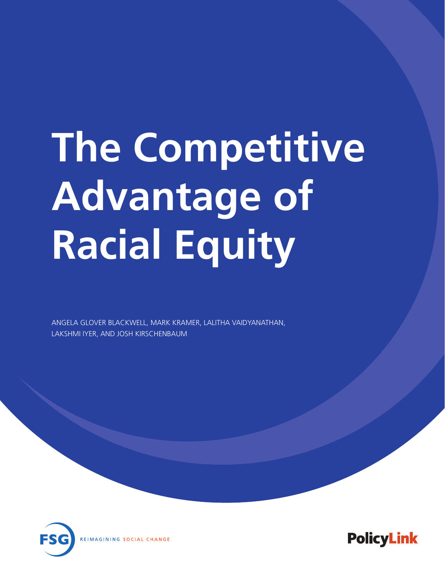# **The Competitive Advantage of Racial Equity**

ANGELA GLOVER BLACKWELL, MARK KRAMER, LALITHA VAIDYANATHAN, LAKSHMI IYER, AND JOSH KIRSCHENBAUM



**PolicyLink**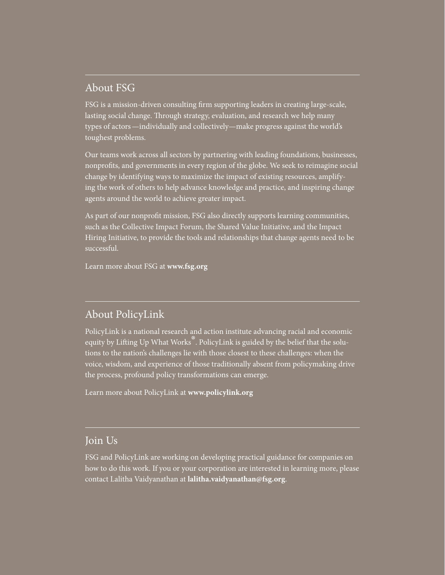#### About FSG

FSG is a mission-driven consulting firm supporting leaders in creating large-scale, lasting social change. Through strategy, evaluation, and research we help many types of actors—individually and collectively—make progress against the world's toughest problems.

Our teams work across all sectors by partnering with leading foundations, businesses, nonprofits, and governments in every region of the globe. We seek to reimagine social change by identifying ways to maximize the impact of existing resources, amplifying the work of others to help advance knowledge and practice, and inspiring change agents around the world to achieve greater impact.

As part of our nonprofit mission, FSG also directly supports learning communities, such as the Collective Impact Forum, the Shared Value Initiative, and the Impact Hiring Initiative, to provide the tools and relationships that change agents need to be successful.

Learn more about FSG at **www.fsg.org**

#### About PolicyLink

PolicyLink is a national research and action institute advancing racial and economic equity by Lifting Up What Works<sup>®</sup>. PolicyLink is guided by the belief that the solutions to the nation's challenges lie with those closest to these challenges: when the voice, wisdom, and experience of those traditionally absent from policymaking drive the process, profound policy transformations can emerge.

Learn more about PolicyLink at **www.policylink.org**

#### Join Us

FSG and PolicyLink are working on developing practical guidance for companies on how to do this work. If you or your corporation are interested in learning more, please contact Lalitha Vaidyanathan at **[lalitha.vaidyanathan@fsg.org](mailto:Lalitha.vaidyanathan@fsg.org)**.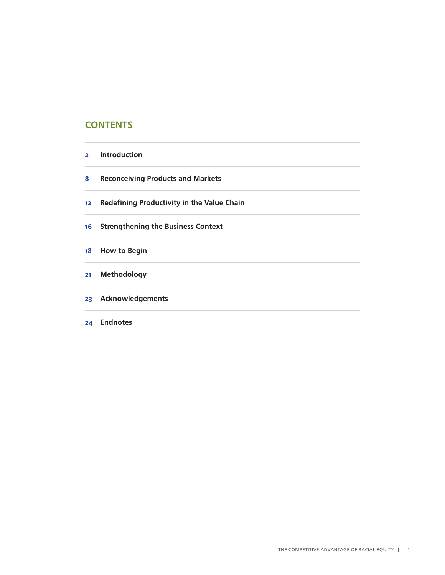#### **CONTENTS**

| 2 | <b>Introduction</b> |
|---|---------------------|
|   |                     |

- **Reconceiving Products and Markets**
- **Redefining Productivity in the Value Chain**
- **Strengthening the Business Context**
- **How to Begin**
- **Methodology**
- **Acknowledgements**
- **Endnotes**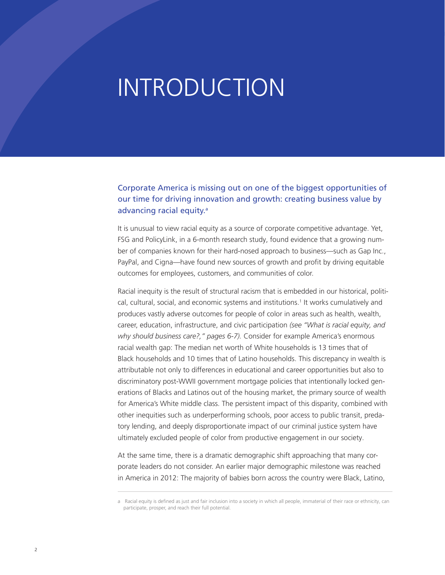### INTRODUCTION

#### Corporate America is missing out on one of the biggest opportunities of our time for driving innovation and growth: creating business value by advancing racial equity.<sup>a</sup>

It is unusual to view racial equity as a source of corporate competitive advantage. Yet, FSG and PolicyLink, in a 6-month research study, found evidence that a growing number of companies known for their hard-nosed approach to business—such as Gap Inc., PayPal, and Cigna—have found new sources of growth and profit by driving equitable outcomes for employees, customers, and communities of color.

Racial inequity is the result of structural racism that is embedded in our historical, political, cultural, social, and economic systems and institutions.1 It works cumulatively and produces vastly adverse outcomes for people of color in areas such as health, wealth, career, education, infrastructure, and civic participation *(see "What is racial equity, and why should business care?," pages 6-7).* Consider for example America's enormous racial wealth gap: The median net worth of White households is 13 times that of Black households and 10 times that of Latino households. This discrepancy in wealth is attributable not only to differences in educational and career opportunities but also to discriminatory post-WWII government mortgage policies that intentionally locked generations of Blacks and Latinos out of the housing market, the primary source of wealth for America's White middle class. The persistent impact of this disparity, combined with other inequities such as underperforming schools, poor access to public transit, predatory lending, and deeply disproportionate impact of our criminal justice system have ultimately excluded people of color from productive engagement in our society.

At the same time, there is a dramatic demographic shift approaching that many corporate leaders do not consider. An earlier major demographic milestone was reached in America in 2012: The majority of babies born across the country were Black, Latino,

a Racial equity is defined as just and fair inclusion into a society in which all people, immaterial of their race or ethnicity, can participate, prosper, and reach their full potential.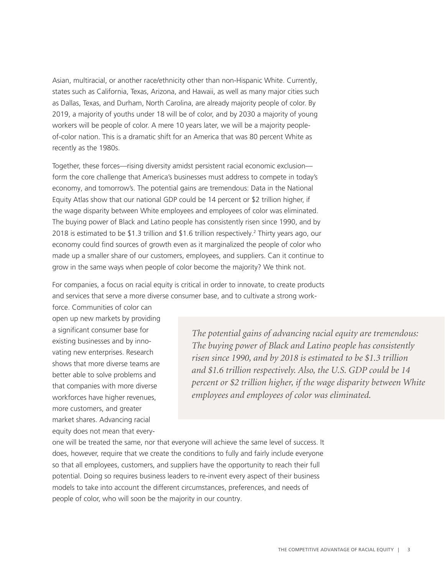Asian, multiracial, or another race/ethnicity other than non-Hispanic White. Currently, states such as California, Texas, Arizona, and Hawaii, as well as many major cities such as Dallas, Texas, and Durham, North Carolina, are already majority people of color. By 2019, a majority of youths under 18 will be of color, and by 2030 a majority of young workers will be people of color. A mere 10 years later, we will be a majority peopleof-color nation. This is a dramatic shift for an America that was 80 percent White as recently as the 1980s.

Together, these forces—rising diversity amidst persistent racial economic exclusion form the core challenge that America's businesses must address to compete in today's economy, and tomorrow's. The potential gains are tremendous: Data in the National Equity Atlas show that our national GDP could be 14 percent or \$2 trillion higher, if the wage disparity between White employees and employees of color was eliminated. The buying power of Black and Latino people has consistently risen since 1990, and by 2018 is estimated to be \$1.3 trillion and \$1.6 trillion respectively.2 Thirty years ago, our economy could find sources of growth even as it marginalized the people of color who made up a smaller share of our customers, employees, and suppliers. Can it continue to grow in the same ways when people of color become the majority? We think not.

For companies, a focus on racial equity is critical in order to innovate, to create products and services that serve a more diverse consumer base, and to cultivate a strong work-

force. Communities of color can open up new markets by providing a significant consumer base for existing businesses and by innovating new enterprises. Research shows that more diverse teams are better able to solve problems and that companies with more diverse workforces have higher revenues, more customers, and greater market shares. Advancing racial equity does not mean that every-

*The potential gains of advancing racial equity are tremendous: The buying power of Black and Latino people has consistently risen since 1990, and by 2018 is estimated to be \$1.3 trillion and \$1.6 trillion respectively. Also, the U.S. GDP could be 14 percent or \$2 trillion higher, if the wage disparity between White employees and employees of color was eliminated.* 

one will be treated the same, nor that everyone will achieve the same level of success. It does, however, require that we create the conditions to fully and fairly include everyone so that all employees, customers, and suppliers have the opportunity to reach their full potential. Doing so requires business leaders to re-invent every aspect of their business models to take into account the different circumstances, preferences, and needs of people of color, who will soon be the majority in our country.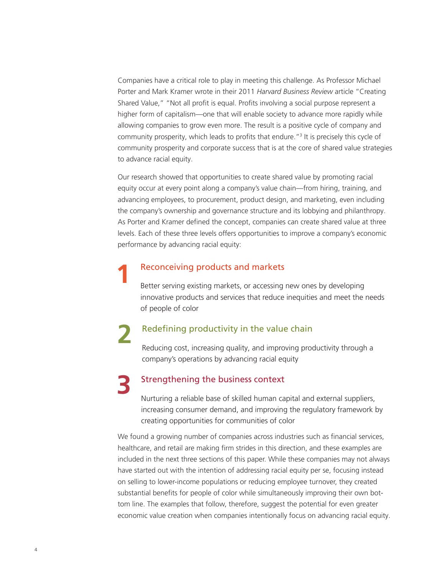Companies have a critical role to play in meeting this challenge. As Professor Michael Porter and Mark Kramer wrote in their 2011 *Harvard Business Review* article "Creating Shared Value," "Not all profit is equal. Profits involving a social purpose represent a higher form of capitalism—one that will enable society to advance more rapidly while allowing companies to grow even more. The result is a positive cycle of company and community prosperity, which leads to profits that endure."<sup>3</sup> It is precisely this cycle of community prosperity and corporate success that is at the core of shared value strategies to advance racial equity.

Our research showed that opportunities to create shared value by promoting racial equity occur at every point along a company's value chain—from hiring, training, and advancing employees, to procurement, product design, and marketing, even including the company's ownership and governance structure and its lobbying and philanthropy. As Porter and Kramer defined the concept, companies can create shared value at three levels. Each of these three levels offers opportunities to improve a company's economic performance by advancing racial equity:

#### Reconceiving products and markets

**1**

Better serving existing markets, or accessing new ones by developing innovative products and services that reduce inequities and meet the needs of people of color

### Redefining productivity in the value chain **2**

Reducing cost, increasing quality, and improving productivity through a company's operations by advancing racial equity

### Strengthening the business context **3**

Nurturing a reliable base of skilled human capital and external suppliers, increasing consumer demand, and improving the regulatory framework by creating opportunities for communities of color

We found a growing number of companies across industries such as financial services, healthcare, and retail are making firm strides in this direction, and these examples are included in the next three sections of this paper. While these companies may not always have started out with the intention of addressing racial equity per se, focusing instead on selling to lower-income populations or reducing employee turnover, they created substantial benefits for people of color while simultaneously improving their own bottom line. The examples that follow, therefore, suggest the potential for even greater economic value creation when companies intentionally focus on advancing racial equity.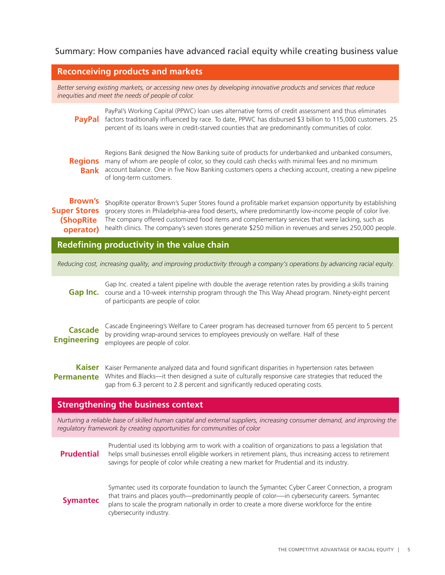#### Summary: How companies have advanced racial equity while creating business value

#### **Reconceiving products and markets**

*Better serving existing markets, or accessing new ones by developing innovative products and services that reduce inequities and meet the needs of people of color.*

PayPal's Working Capital (PPWC) loan uses alternative forms of credit assessment and thus eliminates PayPal factors traditionally influenced by race. To date, PPWC has disbursed \$3 billion to 115,000 customers. 25 percent of its loans were in credit-starved counties that are predominantly communities of color.

Regions Bank designed the Now Banking suite of products for underbanked and unbanked consumers, Regions many of whom are people of color, so they could cash checks with minimal fees and no minimum account balance. One in five Now Banking customers opens a checking account, creating a new pipeline **Bank** of long-term customers.

Brown's shopRite operator Brown's Super Stores found a profitable market expansion opportunity by establishing Super Stores grocery stores in Philadelphia-area food deserts, where predominantly low-income people of color live. **(ShopRite** The company offered customized food items and complementary services that were lacking, such as health clinics. The company's seven stores generate \$250 million in revenues and serves 250,000 people. **operator)**

**Redefining productivity in the value chain**

*Reducing cost, increasing quality, and improving productivity through a company's operations by advancing racial equity.*

#### Gap Inc. created a talent pipeline with double the average retention rates by providing a skills training Gap Inc. course and a 10-week internship program through the This Way Ahead program. Ninety-eight percent of participants are people of color.

Cascade Engineering's Welfare to Career program has decreased turnover from 65 percent to 5 percent by providing wrap-around services to employees previously on welfare. Half of these employees are people of color. **Cascade Engineering**

Kaiser Kaiser Permanente analyzed data and found significant disparities in hypertension rates between **Permanente** Whites and Blacks—it then designed a suite of culturally responsive care strategies that reduced the gap from 6.3 percent to 2.8 percent and significantly reduced operating costs.

#### **Strengthening the business context**

*Nurturing a reliable base of skilled human capital and external suppliers, increasing consumer demand, and improving the regulatory framework by creating opportunities for communities of color*

Prudential used its lobbying arm to work with a coalition of organizations to pass a legislation that helps small businesses enroll eligible workers in retirement plans, thus increasing access to retirement savings for people of color while creating a new market for Prudential and its industry. **Prudential**

#### **Symantec**

Symantec used its corporate foundation to launch the Symantec Cyber Career Connection, a program that trains and places youth—predominantly people of color-—in cybersecurity careers. Symantec plans to scale the program nationally in order to create a more diverse workforce for the entire cybersecurity industry.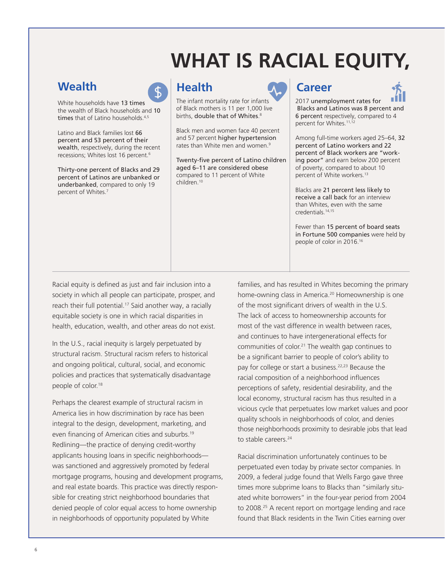### **WHAT IS RACIAL EQUITY,**



White households have 13 times the wealth of Black households and 10 times that of Latino households.<sup>4,5</sup>

Latino and Black families lost 66 percent and 53 percent of their wealth, respectively, during the recent recessions; Whites lost 16 percent.6

Thirty-one percent of Blacks and 29 percent of Latinos are unbanked or underbanked, compared to only 19 percent of Whites.7



The infant mortality rate for infants of Black mothers is 11 per 1,000 live births, double that of Whites.<sup>8</sup>

Black men and women face 40 percent and 57 percent higher hypertension rates than White men and women.<sup>9</sup>

Twenty-five percent of Latino children aged 6–11 are considered obese compared to 11 percent of White children.10



2017 unemployment rates for Blacks and Latinos was 8 percent and 6 percent respectively, compared to 4 percent for Whites.<sup>11,12</sup>

Among full-time workers aged 25–64, 32 percent of Latino workers and 22 percent of Black workers are "working poor" and earn below 200 percent of poverty, compared to about 10 percent of White workers.<sup>13</sup>

Blacks are 21 percent less likely to receive a call back for an interview than Whites, even with the same credentials.14,15

Fewer than 15 percent of board seats in Fortune 500 companies were held by people of color in 2016.16

Racial equity is defined as just and fair inclusion into a society in which all people can participate, prosper, and reach their full potential.<sup>17</sup> Said another way, a racially equitable society is one in which racial disparities in health, education, wealth, and other areas do not exist.

In the U.S., racial inequity is largely perpetuated by structural racism. Structural racism refers to historical and ongoing political, cultural, social, and economic policies and practices that systematically disadvantage people of color.<sup>18</sup>

Perhaps the clearest example of structural racism in America lies in how discrimination by race has been integral to the design, development, marketing, and even financing of American cities and suburbs.<sup>19</sup> Redlining—the practice of denying credit-worthy applicants housing loans in specific neighborhoods was sanctioned and aggressively promoted by federal mortgage programs, housing and development programs, and real estate boards. This practice was directly responsible for creating strict neighborhood boundaries that denied people of color equal access to home ownership in neighborhoods of opportunity populated by White

families, and has resulted in Whites becoming the primary home-owning class in America.<sup>20</sup> Homeownership is one of the most significant drivers of wealth in the U.S. The lack of access to homeownership accounts for most of the vast difference in wealth between races, and continues to have intergenerational effects for communities of color.21 The wealth gap continues to be a significant barrier to people of color's ability to pay for college or start a business.<sup>22,23</sup> Because the racial composition of a neighborhood influences perceptions of safety, residential desirability, and the local economy, structural racism has thus resulted in a vicious cycle that perpetuates low market values and poor quality schools in neighborhoods of color, and denies those neighborhoods proximity to desirable jobs that lead to stable careers.<sup>24</sup>

Racial discrimination unfortunately continues to be perpetuated even today by private sector companies. In 2009, a federal judge found that Wells Fargo gave three times more subprime loans to Blacks than "similarly situated white borrowers" in the four-year period from 2004 to 2008.<sup>25</sup> A recent report on mortgage lending and race found that Black residents in the Twin Cities earning over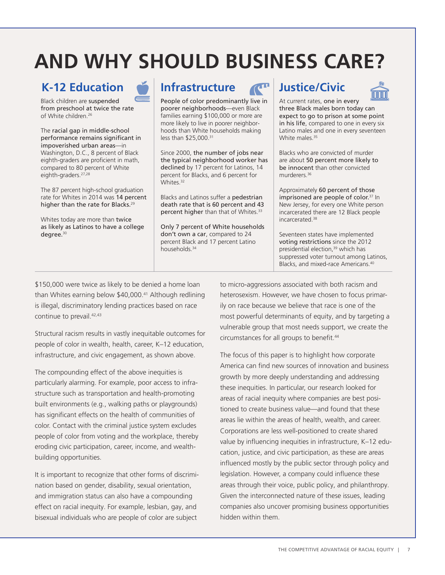### **AND WHY SHOULD BUSINESS CARE?**

### **K-12 Education Infrastructure Justice/Civic**

Black children are suspended from preschool at twice the rate of White children.<sup>26</sup>

The racial gap in middle-school performance remains significant in impoverished urban areas—in Washington, D.C., 8 percent of Black eighth-graders are proficient in math, compared to 80 percent of White eighth-graders.<sup>27,28</sup>

The 87 percent high-school graduation rate for Whites in 2014 was 14 percent higher than the rate for Blacks.<sup>29</sup>

Whites today are more than twice as likely as Latinos to have a college degree.<sup>30</sup>

People of color predominantly live in poorer neighborhoods—even Black families earning \$100,000 or more are more likely to live in poorer neighborhoods than White households making less than \$25,000.31

Since 2000, the number of jobs near the typical neighborhood worker has declined by 17 percent for Latinos, 14 percent for Blacks, and 6 percent for Whites.<sup>32</sup>

Blacks and Latinos suffer a pedestrian death rate that is 60 percent and 43 percent higher than that of Whites.<sup>33</sup>

Only 7 percent of White households don't own a car, compared to 24 percent Black and 17 percent Latino households.34



At current rates, one in every three Black males born today can expect to go to prison at some point in his life, compared to one in every six Latino males and one in every seventeen White males.<sup>35</sup>

Blacks who are convicted of murder are about 50 percent more likely to be innocent than other convicted murderers.36

Approximately 60 percent of those imprisoned are people of color.<sup>37</sup> In New Jersey, for every one White person incarcerated there are 12 Black people incarcerated.38

Seventeen states have implemented voting restrictions since the 2012 presidential election,<sup>39</sup> which has suppressed voter turnout among Latinos, Blacks, and mixed-race Americans.40

\$150,000 were twice as likely to be denied a home loan than Whites earning below \$40,000.<sup>41</sup> Although redlining is illegal, discriminatory lending practices based on race continue to prevail.<sup>42,43</sup>

Structural racism results in vastly inequitable outcomes for people of color in wealth, health, career, K–12 education, infrastructure, and civic engagement, as shown above.

The compounding effect of the above inequities is particularly alarming. For example, poor access to infrastructure such as transportation and health-promoting built environments (e.g., walking paths or playgrounds) has significant effects on the health of communities of color. Contact with the criminal justice system excludes people of color from voting and the workplace, thereby eroding civic participation, career, income, and wealthbuilding opportunities.

It is important to recognize that other forms of discrimination based on gender, disability, sexual orientation, and immigration status can also have a compounding effect on racial inequity. For example, lesbian, gay, and bisexual individuals who are people of color are subject

to micro-aggressions associated with both racism and heterosexism. However, we have chosen to focus primarily on race because we believe that race is one of the most powerful determinants of equity, and by targeting a vulnerable group that most needs support, we create the circumstances for all groups to benefit.<sup>44</sup>

The focus of this paper is to highlight how corporate America can find new sources of innovation and business growth by more deeply understanding and addressing these inequities. In particular, our research looked for areas of racial inequity where companies are best positioned to create business value—and found that these areas lie within the areas of health, wealth, and career. Corporations are less well-positioned to create shared value by influencing inequities in infrastructure, K–12 education, justice, and civic participation, as these are areas influenced mostly by the public sector through policy and legislation. However, a company could influence these areas through their voice, public policy, and philanthropy. Given the interconnected nature of these issues, leading companies also uncover promising business opportunities hidden within them.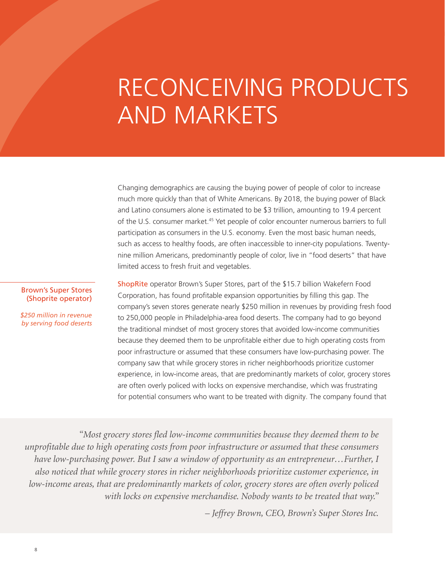# RECONCEIVING PRODUCTS AND MARKETS

Changing demographics are causing the buying power of people of color to increase much more quickly than that of White Americans. By 2018, the buying power of Black and Latino consumers alone is estimated to be \$3 trillion, amounting to 19.4 percent of the U.S. consumer market.45 Yet people of color encounter numerous barriers to full participation as consumers in the U.S. economy. Even the most basic human needs, such as access to healthy foods, are often inaccessible to inner-city populations. Twentynine million Americans, predominantly people of color, live in "food deserts" that have limited access to fresh fruit and vegetables.

ShopRite operator Brown's Super Stores, part of the \$15.7 billion Wakefern Food Corporation, has found profitable expansion opportunities by filling this gap. The company's seven stores generate nearly \$250 million in revenues by providing fresh food to 250,000 people in Philadelphia-area food deserts. The company had to go beyond the traditional mindset of most grocery stores that avoided low-income communities because they deemed them to be unprofitable either due to high operating costs from poor infrastructure or assumed that these consumers have low-purchasing power. The company saw that while grocery stores in richer neighborhoods prioritize customer experience, in low-income areas, that are predominantly markets of color, grocery stores are often overly policed with locks on expensive merchandise, which was frustrating for potential consumers who want to be treated with dignity. The company found that

Brown's Super Stores (Shoprite operator)

*\$250 million in revenue by serving food deserts*

*"Most grocery stores fled low-income communities because they deemed them to be unprofitable due to high operating costs from poor infrastructure or assumed that these consumers have low-purchasing power. But I saw a window of opportunity as an entrepreneur…Further, I also noticed that while grocery stores in richer neighborhoods prioritize customer experience, in low-income areas, that are predominantly markets of color, grocery stores are often overly policed with locks on expensive merchandise. Nobody wants to be treated that way."* 

*– Jeffrey Brown, CEO, Brown's Super Stores Inc.*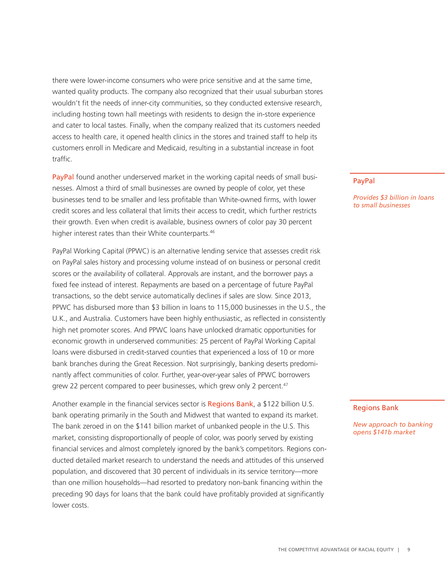there were lower-income consumers who were price sensitive and at the same time, wanted quality products. The company also recognized that their usual suburban stores wouldn't fit the needs of inner-city communities, so they conducted extensive research, including hosting town hall meetings with residents to design the in-store experience and cater to local tastes. Finally, when the company realized that its customers needed access to health care, it opened health clinics in the stores and trained staff to help its customers enroll in Medicare and Medicaid, resulting in a substantial increase in foot traffic.

PayPal found another underserved market in the working capital needs of small businesses. Almost a third of small businesses are owned by people of color, yet these businesses tend to be smaller and less profitable than White-owned firms, with lower credit scores and less collateral that limits their access to credit, which further restricts their growth. Even when credit is available, business owners of color pay 30 percent higher interest rates than their White counterparts.<sup>46</sup>

PayPal Working Capital (PPWC) is an alternative lending service that assesses credit risk on PayPal sales history and processing volume instead of on business or personal credit scores or the availability of collateral. Approvals are instant, and the borrower pays a fixed fee instead of interest. Repayments are based on a percentage of future PayPal transactions, so the debt service automatically declines if sales are slow. Since 2013, PPWC has disbursed more than \$3 billion in loans to 115,000 businesses in the U.S., the U.K., and Australia. Customers have been highly enthusiastic, as reflected in consistently high net promoter scores. And PPWC loans have unlocked dramatic opportunities for economic growth in underserved communities: 25 percent of PayPal Working Capital loans were disbursed in credit-starved counties that experienced a loss of 10 or more bank branches during the Great Recession. Not surprisingly, banking deserts predominantly affect communities of color. Further, year-over-year sales of PPWC borrowers grew 22 percent compared to peer businesses, which grew only 2 percent.<sup>47</sup>

Another example in the financial services sector is Regions Bank, a \$122 billion U.S. bank operating primarily in the South and Midwest that wanted to expand its market. The bank zeroed in on the \$141 billion market of unbanked people in the U.S. This market, consisting disproportionally of people of color, was poorly served by existing financial services and almost completely ignored by the bank's competitors. Regions conducted detailed market research to understand the needs and attitudes of this unserved population, and discovered that 30 percent of individuals in its service territory—more than one million households—had resorted to predatory non-bank financing within the preceding 90 days for loans that the bank could have profitably provided at significantly lower costs.

#### PayPal

*Provides \$3 billion in loans to small businesses*

#### Regions Bank

*New approach to banking opens \$141b market*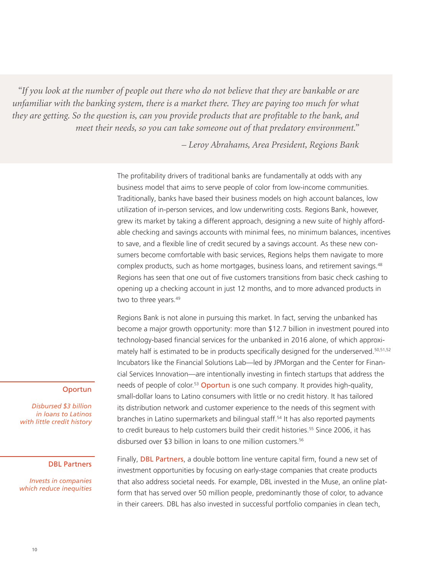*"If you look at the number of people out there who do not believe that they are bankable or are unfamiliar with the banking system, there is a market there. They are paying too much for what they are getting. So the question is, can you provide products that are profitable to the bank, and meet their needs, so you can take someone out of that predatory environment."*

*– Leroy Abrahams, Area President, Regions Bank* 

The profitability drivers of traditional banks are fundamentally at odds with any business model that aims to serve people of color from low-income communities. Traditionally, banks have based their business models on high account balances, low utilization of in-person services, and low underwriting costs. Regions Bank, however, grew its market by taking a different approach, designing a new suite of highly affordable checking and savings accounts with minimal fees, no minimum balances, incentives to save, and a flexible line of credit secured by a savings account. As these new consumers become comfortable with basic services, Regions helps them navigate to more complex products, such as home mortgages, business loans, and retirement savings.<sup>48</sup> Regions has seen that one out of five customers transitions from basic check cashing to opening up a checking account in just 12 months, and to more advanced products in two to three years.<sup>49</sup>

Regions Bank is not alone in pursuing this market. In fact, serving the unbanked has become a major growth opportunity: more than \$12.7 billion in investment poured into technology-based financial services for the unbanked in 2016 alone, of which approximately half is estimated to be in products specifically designed for the underserved.<sup>50,51,52</sup> Incubators like the Financial Solutions Lab—led by JPMorgan and the Center for Financial Services Innovation—are intentionally investing in fintech startups that address the needs of people of color.<sup>53</sup> Oportun is one such company. It provides high-quality, small-dollar loans to Latino consumers with little or no credit history. It has tailored its distribution network and customer experience to the needs of this segment with branches in Latino supermarkets and bilingual staff.<sup>54</sup> It has also reported payments to credit bureaus to help customers build their credit histories.<sup>55</sup> Since 2006, it has disbursed over \$3 billion in loans to one million customers.<sup>56</sup>

#### **Oportun**

*Disbursed \$3 billion in loans to Latinos with little credit history*

#### DBL Partners

*Invests in companies which reduce inequities*

Finally, **DBL Partners**, a double bottom line venture capital firm, found a new set of investment opportunities by focusing on early-stage companies that create products that also address societal needs. For example, DBL invested in the Muse, an online platform that has served over 50 million people, predominantly those of color, to advance in their careers. DBL has also invested in successful portfolio companies in clean tech,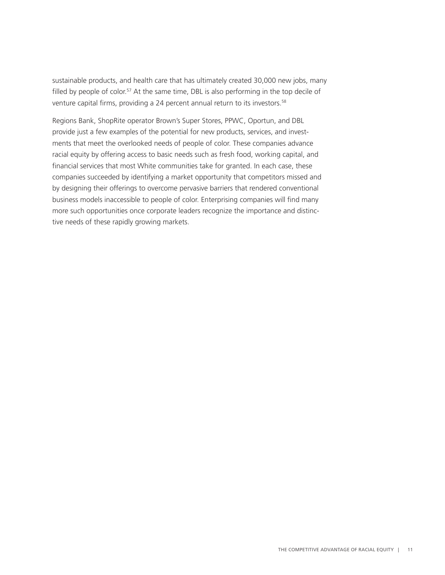sustainable products, and health care that has ultimately created 30,000 new jobs, many filled by people of color.<sup>57</sup> At the same time, DBL is also performing in the top decile of venture capital firms, providing a 24 percent annual return to its investors.<sup>58</sup>

Regions Bank, ShopRite operator Brown's Super Stores, PPWC, Oportun, and DBL provide just a few examples of the potential for new products, services, and investments that meet the overlooked needs of people of color. These companies advance racial equity by offering access to basic needs such as fresh food, working capital, and financial services that most White communities take for granted. In each case, these companies succeeded by identifying a market opportunity that competitors missed and by designing their offerings to overcome pervasive barriers that rendered conventional business models inaccessible to people of color. Enterprising companies will find many more such opportunities once corporate leaders recognize the importance and distinctive needs of these rapidly growing markets.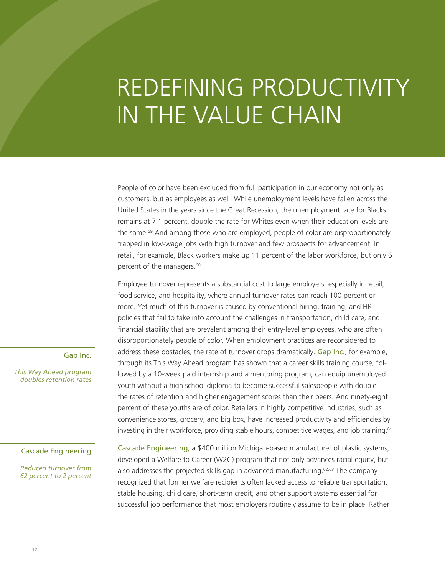# REDEFINING PRODUCTIVITY IN THE VALUE CHAIN

People of color have been excluded from full participation in our economy not only as customers, but as employees as well. While unemployment levels have fallen across the United States in the years since the Great Recession, the unemployment rate for Blacks remains at 7.1 percent, double the rate for Whites even when their education levels are the same.59 And among those who are employed, people of color are disproportionately trapped in low-wage jobs with high turnover and few prospects for advancement. In retail, for example, Black workers make up 11 percent of the labor workforce, but only 6 percent of the managers.<sup>60</sup>

Employee turnover represents a substantial cost to large employers, especially in retail, food service, and hospitality, where annual turnover rates can reach 100 percent or more. Yet much of this turnover is caused by conventional hiring, training, and HR policies that fail to take into account the challenges in transportation, child care, and financial stability that are prevalent among their entry-level employees, who are often disproportionately people of color. When employment practices are reconsidered to address these obstacles, the rate of turnover drops dramatically. Gap Inc., for example, through its This Way Ahead program has shown that a career skills training course, followed by a 10-week paid internship and a mentoring program, can equip unemployed youth without a high school diploma to become successful salespeople with double the rates of retention and higher engagement scores than their peers. And ninety-eight percent of these youths are of color. Retailers in highly competitive industries, such as convenience stores, grocery, and big box, have increased productivity and efficiencies by investing in their workforce, providing stable hours, competitive wages, and job training.<sup>61</sup>

#### Gap Inc.

*This Way Ahead program doubles retention rates*

#### Cascade Engineering

*Reduced turnover from 62 percent to 2 percent* Cascade Engineering, a \$400 million Michigan-based manufacturer of plastic systems, developed a Welfare to Career (W2C) program that not only advances racial equity, but also addresses the projected skills gap in advanced manufacturing.62,63 The company recognized that former welfare recipients often lacked access to reliable transportation, stable housing, child care, short-term credit, and other support systems essential for successful job performance that most employers routinely assume to be in place. Rather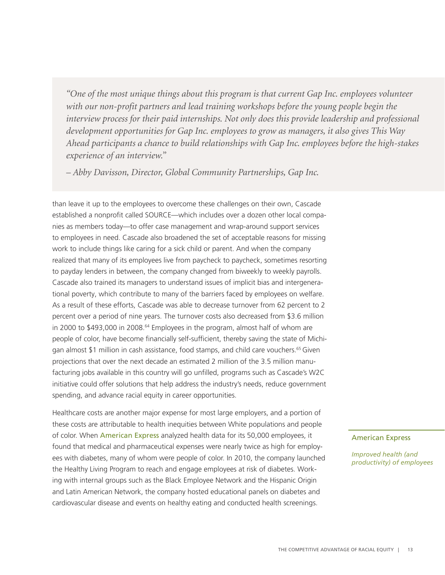*"One of the most unique things about this program is that current Gap Inc. employees volunteer with our non-profit partners and lead training workshops before the young people begin the interview process for their paid internships. Not only does this provide leadership and professional development opportunities for Gap Inc. employees to grow as managers, it also gives This Way Ahead participants a chance to build relationships with Gap Inc. employees before the high-stakes experience of an interview."* 

*– Abby Davisson, Director, Global Community Partnerships, Gap Inc.*

than leave it up to the employees to overcome these challenges on their own, Cascade established a nonprofit called SOURCE—which includes over a dozen other local companies as members today—to offer case management and wrap-around support services to employees in need. Cascade also broadened the set of acceptable reasons for missing work to include things like caring for a sick child or parent. And when the company realized that many of its employees live from paycheck to paycheck, sometimes resorting to payday lenders in between, the company changed from biweekly to weekly payrolls. Cascade also trained its managers to understand issues of implicit bias and intergenerational poverty, which contribute to many of the barriers faced by employees on welfare. As a result of these efforts, Cascade was able to decrease turnover from 62 percent to 2 percent over a period of nine years. The turnover costs also decreased from \$3.6 million in 2000 to \$493,000 in 2008.<sup>64</sup> Employees in the program, almost half of whom are people of color, have become financially self-sufficient, thereby saving the state of Michigan almost \$1 million in cash assistance, food stamps, and child care vouchers.65 Given projections that over the next decade an estimated 2 million of the 3.5 million manufacturing jobs available in this country will go unfilled, programs such as Cascade's W2C initiative could offer solutions that help address the industry's needs, reduce government spending, and advance racial equity in career opportunities.

Healthcare costs are another major expense for most large employers, and a portion of these costs are attributable to health inequities between White populations and people of color. When American Express analyzed health data for its 50,000 employees, it found that medical and pharmaceutical expenses were nearly twice as high for employees with diabetes, many of whom were people of color. In 2010, the company launched the Healthy Living Program to reach and engage employees at risk of diabetes. Working with internal groups such as the Black Employee Network and the Hispanic Origin and Latin American Network, the company hosted educational panels on diabetes and cardiovascular disease and events on healthy eating and conducted health screenings.

#### American Express

*Improved health (and productivity) of employees*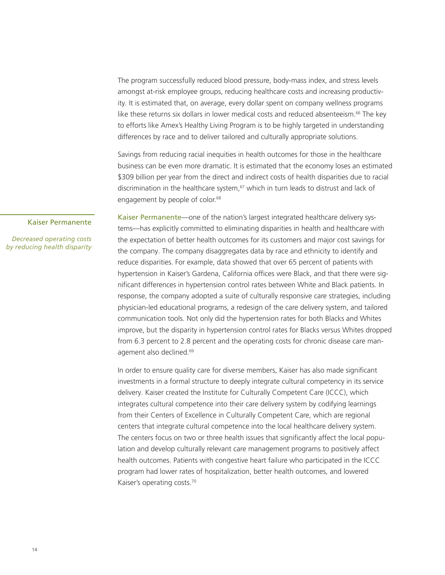The program successfully reduced blood pressure, body-mass index, and stress levels amongst at-risk employee groups, reducing healthcare costs and increasing productivity. It is estimated that, on average, every dollar spent on company wellness programs like these returns six dollars in lower medical costs and reduced absenteeism. $66$  The key to efforts like Amex's Healthy Living Program is to be highly targeted in understanding differences by race and to deliver tailored and culturally appropriate solutions.

Savings from reducing racial inequities in health outcomes for those in the healthcare business can be even more dramatic. It is estimated that the economy loses an estimated \$309 billion per year from the direct and indirect costs of health disparities due to racial discrimination in the healthcare system,<sup>67</sup> which in turn leads to distrust and lack of engagement by people of color.<sup>68</sup>

#### Kaiser Permanente

*Decreased operating costs by reducing health disparity*

Kaiser Permanente—one of the nation's largest integrated healthcare delivery systems—has explicitly committed to eliminating disparities in health and healthcare with the expectation of better health outcomes for its customers and major cost savings for the company. The company disaggregates data by race and ethnicity to identify and reduce disparities. For example, data showed that over 65 percent of patients with hypertension in Kaiser's Gardena, California offices were Black, and that there were significant differences in hypertension control rates between White and Black patients. In response, the company adopted a suite of culturally responsive care strategies, including physician-led educational programs, a redesign of the care delivery system, and tailored communication tools. Not only did the hypertension rates for both Blacks and Whites improve, but the disparity in hypertension control rates for Blacks versus Whites dropped from 6.3 percent to 2.8 percent and the operating costs for chronic disease care management also declined.<sup>69</sup>

In order to ensure quality care for diverse members, Kaiser has also made significant investments in a formal structure to deeply integrate cultural competency in its service delivery. Kaiser created the Institute for Culturally Competent Care (ICCC), which integrates cultural competence into their care delivery system by codifying learnings from their Centers of Excellence in Culturally Competent Care, which are regional centers that integrate cultural competence into the local healthcare delivery system. The centers focus on two or three health issues that significantly affect the local population and develop culturally relevant care management programs to positively affect health outcomes. Patients with congestive heart failure who participated in the ICCC program had lower rates of hospitalization, better health outcomes, and lowered Kaiser's operating costs.70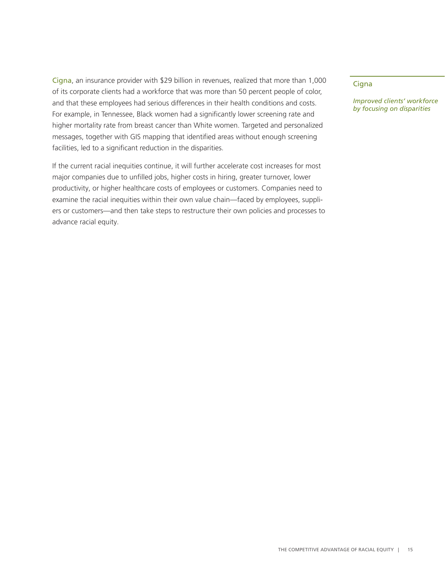Cigna, an insurance provider with \$29 billion in revenues, realized that more than 1,000 of its corporate clients had a workforce that was more than 50 percent people of color, and that these employees had serious differences in their health conditions and costs. For example, in Tennessee, Black women had a significantly lower screening rate and higher mortality rate from breast cancer than White women. Targeted and personalized messages, together with GIS mapping that identified areas without enough screening facilities, led to a significant reduction in the disparities.

If the current racial inequities continue, it will further accelerate cost increases for most major companies due to unfilled jobs, higher costs in hiring, greater turnover, lower productivity, or higher healthcare costs of employees or customers. Companies need to examine the racial inequities within their own value chain—faced by employees, suppliers or customers—and then take steps to restructure their own policies and processes to advance racial equity.

**Cigna** 

*Improved clients' workforce by focusing on disparities*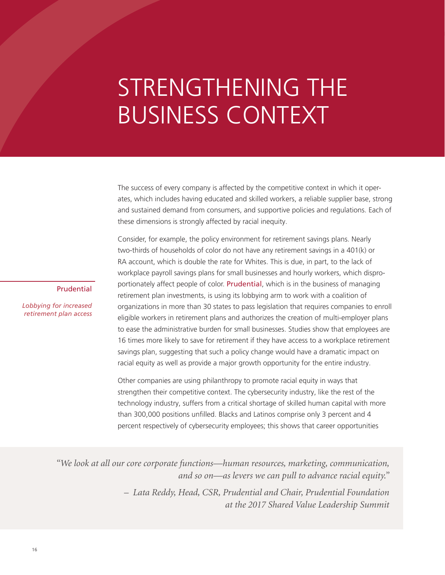# STRENGTHENING THE BUSINESS CONTEXT

The success of every company is affected by the competitive context in which it operates, which includes having educated and skilled workers, a reliable supplier base, strong and sustained demand from consumers, and supportive policies and regulations. Each of these dimensions is strongly affected by racial inequity.

Consider, for example, the policy environment for retirement savings plans. Nearly two-thirds of households of color do not have any retirement savings in a 401(k) or RA account, which is double the rate for Whites. This is due, in part, to the lack of workplace payroll savings plans for small businesses and hourly workers, which disproportionately affect people of color. Prudential, which is in the business of managing retirement plan investments, is using its lobbying arm to work with a coalition of organizations in more than 30 states to pass legislation that requires companies to enroll eligible workers in retirement plans and authorizes the creation of multi-employer plans to ease the administrative burden for small businesses. Studies show that employees are 16 times more likely to save for retirement if they have access to a workplace retirement savings plan, suggesting that such a policy change would have a dramatic impact on racial equity as well as provide a major growth opportunity for the entire industry.

Other companies are using philanthropy to promote racial equity in ways that strengthen their competitive context. The cybersecurity industry, like the rest of the technology industry, suffers from a critical shortage of skilled human capital with more than 300,000 positions unfilled. Blacks and Latinos comprise only 3 percent and 4 percent respectively of cybersecurity employees; this shows that career opportunities

*"We look at all our core corporate functions—human resources, marketing, communication, and so on—as levers we can pull to advance racial equity."*

> *– Lata Reddy, Head, CSR, Prudential and Chair, Prudential Foundation at the 2017 Shared Value Leadership Summit*

#### Prudential

*Lobbying for increased retirement plan access*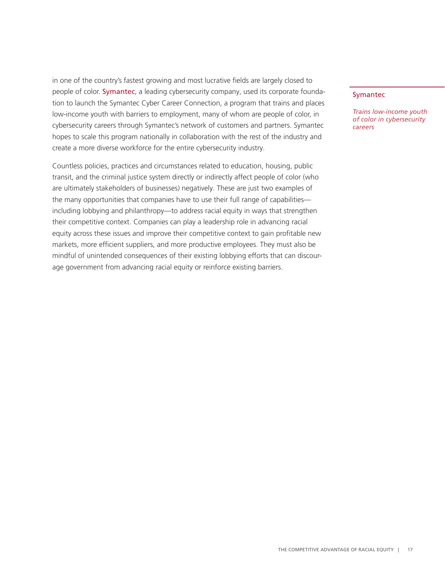in one of the country's fastest growing and most lucrative fields are largely closed to people of color. Symantec, a leading cybersecurity company, used its corporate foundation to launch the Symantec Cyber Career Connection, a program that trains and places low-income youth with barriers to employment, many of whom are people of color, in cybersecurity careers through Symantec's network of customers and partners. Symantec hopes to scale this program nationally in collaboration with the rest of the industry and create a more diverse workforce for the entire cybersecurity industry.

Countless policies, practices and circumstances related to education, housing, public transit, and the criminal justice system directly or indirectly affect people of color (who are ultimately stakeholders of businesses) negatively. These are just two examples of the many opportunities that companies have to use their full range of capabilities including lobbying and philanthropy—to address racial equity in ways that strengthen their competitive context. Companies can play a leadership role in advancing racial equity across these issues and improve their competitive context to gain profitable new markets, more efficient suppliers, and more productive employees. They must also be mindful of unintended consequences of their existing lobbying efforts that can discourage government from advancing racial equity or reinforce existing barriers.

#### Symantec

*Trains low-income youth of color in cybersecurity careers*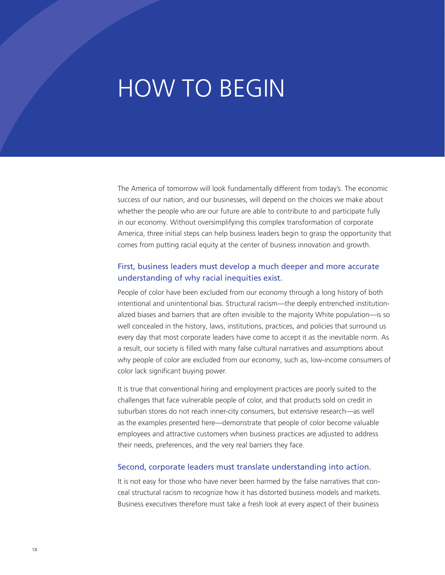### HOW TO BEGIN

The America of tomorrow will look fundamentally different from today's. The economic success of our nation, and our businesses, will depend on the choices we make about whether the people who are our future are able to contribute to and participate fully in our economy. Without oversimplifying this complex transformation of corporate America, three initial steps can help business leaders begin to grasp the opportunity that comes from putting racial equity at the center of business innovation and growth.

#### First, business leaders must develop a much deeper and more accurate understanding of why racial inequities exist.

People of color have been excluded from our economy through a long history of both intentional and unintentional bias. Structural racism—the deeply entrenched institutionalized biases and barriers that are often invisible to the majority White population—is so well concealed in the history, laws, institutions, practices, and policies that surround us every day that most corporate leaders have come to accept it as the inevitable norm. As a result, our society is filled with many false cultural narratives and assumptions about why people of color are excluded from our economy, such as, low-income consumers of color lack significant buying power.

It is true that conventional hiring and employment practices are poorly suited to the challenges that face vulnerable people of color, and that products sold on credit in suburban stores do not reach inner-city consumers, but extensive research—as well as the examples presented here—demonstrate that people of color become valuable employees and attractive customers when business practices are adjusted to address their needs, preferences, and the very real barriers they face.

#### Second, corporate leaders must translate understanding into action.

It is not easy for those who have never been harmed by the false narratives that conceal structural racism to recognize how it has distorted business models and markets. Business executives therefore must take a fresh look at every aspect of their business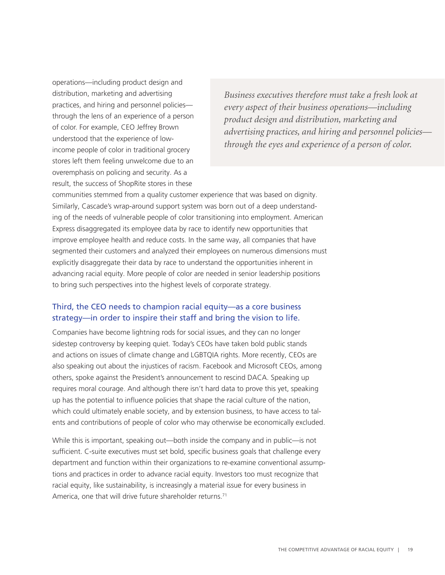operations—including product design and distribution, marketing and advertising practices, and hiring and personnel policies through the lens of an experience of a person of color. For example, CEO Jeffrey Brown understood that the experience of lowincome people of color in traditional grocery stores left them feeling unwelcome due to an overemphasis on policing and security. As a result, the success of ShopRite stores in these

*Business executives therefore must take a fresh look at every aspect of their business operations—including product design and distribution, marketing and advertising practices, and hiring and personnel policies through the eyes and experience of a person of color.*

communities stemmed from a quality customer experience that was based on dignity. Similarly, Cascade's wrap-around support system was born out of a deep understanding of the needs of vulnerable people of color transitioning into employment. American Express disaggregated its employee data by race to identify new opportunities that improve employee health and reduce costs. In the same way, all companies that have segmented their customers and analyzed their employees on numerous dimensions must explicitly disaggregate their data by race to understand the opportunities inherent in advancing racial equity. More people of color are needed in senior leadership positions to bring such perspectives into the highest levels of corporate strategy.

#### Third, the CEO needs to champion racial equity—as a core business strategy—in order to inspire their staff and bring the vision to life.

Companies have become lightning rods for social issues, and they can no longer sidestep controversy by keeping quiet. Today's CEOs have taken bold public stands and actions on issues of climate change and LGBTQIA rights. More recently, CEOs are also speaking out about the injustices of racism. Facebook and Microsoft CEOs, among others, spoke against the President's announcement to rescind DACA. Speaking up requires moral courage. And although there isn't hard data to prove this yet, speaking up has the potential to influence policies that shape the racial culture of the nation, which could ultimately enable society, and by extension business, to have access to talents and contributions of people of color who may otherwise be economically excluded.

While this is important, speaking out—both inside the company and in public—is not sufficient. C-suite executives must set bold, specific business goals that challenge every department and function within their organizations to re-examine conventional assumptions and practices in order to advance racial equity. Investors too must recognize that racial equity, like sustainability, is increasingly a material issue for every business in America, one that will drive future shareholder returns.<sup>71</sup>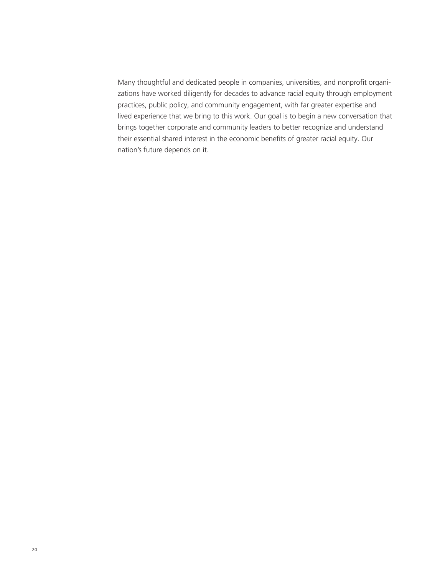Many thoughtful and dedicated people in companies, universities, and nonprofit organizations have worked diligently for decades to advance racial equity through employment practices, public policy, and community engagement, with far greater expertise and lived experience that we bring to this work. Our goal is to begin a new conversation that brings together corporate and community leaders to better recognize and understand their essential shared interest in the economic benefits of greater racial equity. Our nation's future depends on it.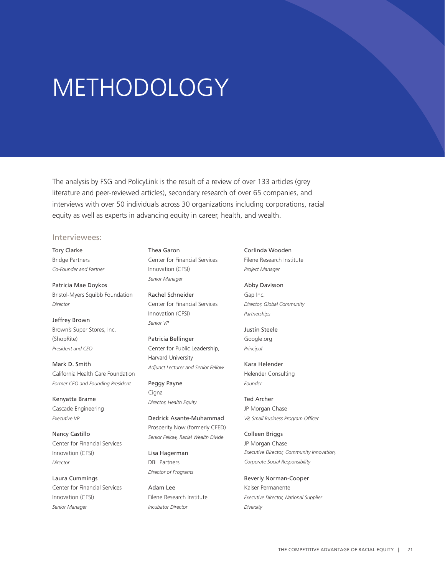### METHODOLOGY

The analysis by FSG and PolicyLink is the result of a review of over 133 articles (grey literature and peer-reviewed articles), secondary research of over 65 companies, and interviews with over 50 individuals across 30 organizations including corporations, racial equity as well as experts in advancing equity in career, health, and wealth.

#### Interviewees:

Tory Clarke Bridge Partners *Co-Founder and Partner*

Patricia Mae Doykos Bristol-Myers Squibb Foundation *Director*

Jeffrey Brown Brown's Super Stores, Inc. (ShopRite) *President and CEO*

Mark D. Smith California Health Care Foundation *Former CEO and Founding President*

Kenyatta Brame Cascade Engineering *Executive VP*

Nancy Castillo Center for Financial Services Innovation (CFSI) *Director*

Laura Cummings Center for Financial Services Innovation (CFSI) *Senior Manager*

Thea Garon Center for Financial Services Innovation (CFSI) *Senior Manager*

Rachel Schneider Center for Financial Services Innovation (CFSI) *Senior VP*

Patricia Bellinger Center for Public Leadership, Harvard University *Adjunct Lecturer and Senior Fellow*

Peggy Payne Cigna *Director, Health Equity*

Dedrick Asante-Muhammad Prosperity Now (formerly CFED) *Senior Fellow, Racial Wealth Divide* 

Lisa Hagerman DBL Partners *Director of Programs*

Adam Lee Filene Research Institute *Incubator Director*

Corlinda Wooden Filene Research Institute *Project Manager*

Abby Davisson Gap Inc. *Director, Global Community Partnerships*

Justin Steele Google.org *Principal*

Kara Helender Helender Consulting *Founder*

Ted Archer JP Morgan Chase *VP, Small Business Program Officer*

Colleen Briggs JP Morgan Chase *Executive Director, Community Innovation, Corporate Social Responsibility*

Beverly Norman-Cooper Kaiser Permanente *Executive Director, National Supplier Diversity*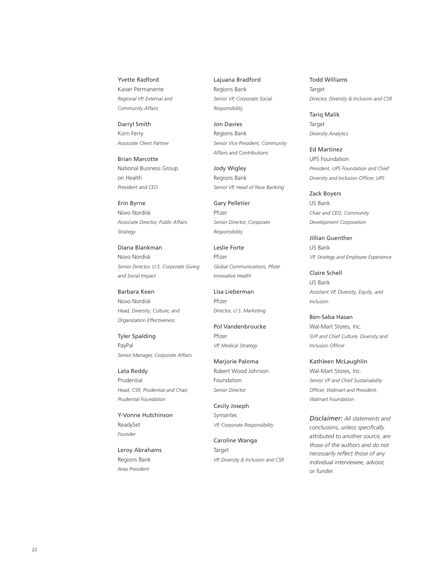#### Yvette Radford

Kaiser Permanente *Regional VP, External and Community Affairs*

Darryl Smith Korn Ferry *Associate Client Partner*

Brian Marcotte National Business Group on Health *President and CEO*

Erin Byrne Novo Nordisk *Associate Director, Public Affairs Strategy*

Diana Blankman Novo Nordisk *Senior Director, U.S. Corporate Giving and Social Impact*

Barbara Keen Novo Nordisk *Head, Diversity, Culture, and Organization Effectiveness*

Tyler Spalding PayPal *Senior Manager, Corporate Affairs*

Lata Reddy Prudential *Head, CSR, Prudential and Chair, Prudential Foundation*

Y-Vonne Hutchinson ReadySet *Founder*

Leroy Abrahams Regions Bank *Area President*

Lajuana Bradford Regions Bank *Senior VP, Corporate Social Responsibility*

Jon Davies Regions Bank *Senior Vice President, Community Affairs and Contributions*

Jody Wigley Regions Bank *Senior VP, Head of Now Banking*

Gary Pelletier Pfizer *Senior Director, Corporate Responsibility*

Leslie Forte Pfizer *Global Communications, Pfizer Innovative Health*

Lisa Lieberman Pfizer *Director, U.S. Marketing*

Pol Vandenbroucke Pfizer *VP, Medical Strategy*

Marjorie Paloma Robert Wood Johnson Foundation *Senior Director*

Cecily Joseph Symantec *VP, Corporate Responsibility*

Caroline Wanga Target *VP, Diversity & Inclusion and CSR* Todd Williams Target *Director, Diversity & Inclusion and CSR*

Tariq Malik Target *Diversity Analytics*

Ed Martinez UPS Foundation *President, UPS Foundation and Chief Diversity and Inclusion Officer, UPS*

Zack Boyers US Bank *Chair and CEO, Community Development Corporation*

Jillian Guenther US Bank *VP, Strategy and Employee Experience*

Claire Schell US Bank *Assistant VP, Diversity, Equity, and Inclusion*

Ben-Saba Hasan Wal-Mart Stores, Inc. *SVP and Chief Culture, Diversity and Inclusion Officer*

Kathleen McLaughlin Wal-Mart Stores, Inc. *Senior VP and Chief Sustainability Officer, Walmart and President, Walmart Foundation*

*Disclaimer: All statements and conclusions, unless specifically attributed to another source, are those of the authors and do not necessarily reflect those of any individual interviewee, advisor, or funder.*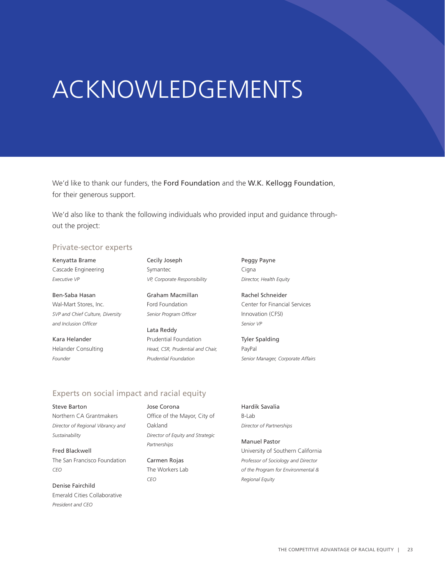# ACKNOWLEDGEMENTS

We'd like to thank our funders, the Ford Foundation and the W.K. Kellogg Foundation, for their generous support.

We'd also like to thank the following individuals who provided input and guidance throughout the project:

#### Private-sector experts

Kenyatta Brame Cascade Engineering *Executive VP*

Ben-Saba Hasan Wal-Mart Stores, Inc. *SVP and Chief Culture, Diversity and Inclusion Officer*

Kara Helander Helander Consulting *Founder*

Cecily Joseph Symantec *VP, Corporate Responsibility*

Graham Macmillan Ford Foundation *Senior Program Officer*

Lata Reddy Prudential Foundation *Head, CSR, Prudential and Chair, Prudential Foundation*

Peggy Payne Cigna *Director, Health Equity*

Rachel Schneider Center for Financial Services Innovation (CFSI) *Senior VP*

Tyler Spalding PayPal *Senior Manager, Corporate Affairs*

#### Experts on social impact and racial equity

Steve Barton Northern CA Grantmakers *Director of Regional Vibrancy and Sustainability* 

Fred Blackwell The San Francisco Foundation *CEO*

Denise Fairchild Emerald Cities Collaborative *President and CEO* 

Jose Corona Office of the Mayor, City of Oakland *Director of Equity and Strategic Partnerships*

Carmen Rojas The Workers Lab *CEO*

Hardik Savalia B-Lab *Director of Partnerships* 

Manuel Pastor University of Southern California *Professor of Sociology and Director of the Program for Environmental & Regional Equity*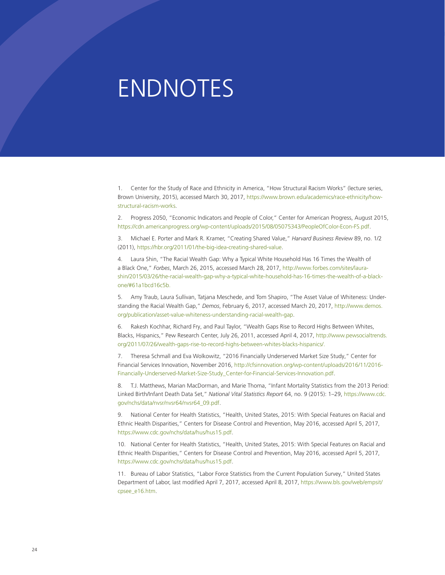### ENDNOTES

1. Center for the Study of Race and Ethnicity in America, "How Structural Racism Works" (lecture series, Brown University, 2015), accessed March 30, 2017, [https://www.brown.edu/academics/race-ethnicity/how](https://www.brown.edu/academics/race-ethnicity/how-structural-racism-works)[structural-racism-works.](https://www.brown.edu/academics/race-ethnicity/how-structural-racism-works)

2. Progress 2050, "Economic Indicators and People of Color," Center for American Progress, August 2015, <https://cdn.americanprogress.org/wp-content/uploads/2015/08/05075343/PeopleOfColor-Econ-FS.pdf>.

3. Michael E. Porter and Mark R. Kramer, "Creating Shared Value," *Harvard Business Review* 89, no. 1/2 (2011), [https://hbr.org/2011/01/the-big-idea-creating-shared-value.](https://hbr.org/2011/01/the-big-idea-creating-shared-value)

4. Laura Shin, "The Racial Wealth Gap: Why a Typical White Household Has 16 Times the Wealth of a Black One," *Forbes*, March 26, 2015, accessed March 28, 2017, [http://www.forbes.com/sites/laura](http://www.forbes.com/sites/laurashin/2015/03/26/the-racial-wealth-gap-why-a-typical-white-household-has-16-times-the-wealth-of-a-black-one/#61a1bcd16c5b)[shin/2015/03/26/the-racial-wealth-gap-why-a-typical-white-household-has-16-times-the-wealth-of-a-black](http://www.forbes.com/sites/laurashin/2015/03/26/the-racial-wealth-gap-why-a-typical-white-household-has-16-times-the-wealth-of-a-black-one/#61a1bcd16c5b)[one/#61a1bcd16c5b.](http://www.forbes.com/sites/laurashin/2015/03/26/the-racial-wealth-gap-why-a-typical-white-household-has-16-times-the-wealth-of-a-black-one/#61a1bcd16c5b)

5. Amy Traub, Laura Sullivan, Tatjana Meschede, and Tom Shapiro, "The Asset Value of Whiteness: Understanding the Racial Wealth Gap," *Demos*, February 6, 2017, accessed March 20, 2017, [http://www.demos.](http://www.demos.org/publication/asset-value-whiteness-understanding-racial-wealth-gap) [org/publication/asset-value-whiteness-understanding-racial-wealth-gap](http://www.demos.org/publication/asset-value-whiteness-understanding-racial-wealth-gap).

6. Rakesh Kochhar, Richard Fry, and Paul Taylor, "Wealth Gaps Rise to Record Highs Between Whites, Blacks, Hispanics," Pew Research Center, July 26, 2011, accessed April 4, 2017, [http://www.pewsocialtrends.](http://www.pewsocialtrends.org/2011/07/26/wealth-gaps-rise-to-record-highs-between-whites-blacks-hispanics/) [org/2011/07/26/wealth-gaps-rise-to-record-highs-between-whites-blacks-hispanics/](http://www.pewsocialtrends.org/2011/07/26/wealth-gaps-rise-to-record-highs-between-whites-blacks-hispanics/).

7. Theresa Schmall and Eva Wolkowitz, "2016 Financially Underserved Market Size Study," Center for Financial Services Innovation, November 2016, [http://cfsinnovation.org/wp-content/uploads/2016/11/2016-](http://cfsinnovation.org/wp-content/uploads/2016/11/2016-Financially-Underserved-Market-Size-Study_Center-for-Financial-Services-Innovation.pdf) [Financially-Underserved-Market-Size-Study\\_Center-for-Financial-Services-Innovation.pdf](http://cfsinnovation.org/wp-content/uploads/2016/11/2016-Financially-Underserved-Market-Size-Study_Center-for-Financial-Services-Innovation.pdf).

8. T.J. Matthews, Marian MacDorman, and Marie Thoma, "Infant Mortality Statistics from the 2013 Period: Linked Birth/Infant Death Data Set," *National Vital Statistics Report* 64, no. 9 (2015): 1–29, [https://www.cdc.](https://www.cdc.gov/nchs/data/nvsr/nvsr64/nvsr64_09.pdf) [gov/nchs/data/nvsr/nvsr64/nvsr64\\_09.pdf](https://www.cdc.gov/nchs/data/nvsr/nvsr64/nvsr64_09.pdf).

9. National Center for Health Statistics, "Health, United States, 2015: With Special Features on Racial and Ethnic Health Disparities," Centers for Disease Control and Prevention, May 2016, accessed April 5, 2017, [https://www.cdc.gov/nchs/data/hus/hus15.pdf.](https://www.cdc.gov/nchs/data/hus/hus15.pdf)

10. National Center for Health Statistics, "Health, United States, 2015: With Special Features on Racial and Ethnic Health Disparities," Centers for Disease Control and Prevention, May 2016, accessed April 5, 2017, [https://www.cdc.gov/nchs/data/hus/hus15.pdf.](https://www.cdc.gov/nchs/data/hus/hus15.pdf)

11. Bureau of Labor Statistics, "Labor Force Statistics from the Current Population Survey," United States Department of Labor, last modified April 7, 2017, accessed April 8, 2017, [https://www.bls.gov/web/empsit/](https://www.bls.gov/web/empsit/cpsee_e16.htm) [cpsee\\_e16.htm](https://www.bls.gov/web/empsit/cpsee_e16.htm).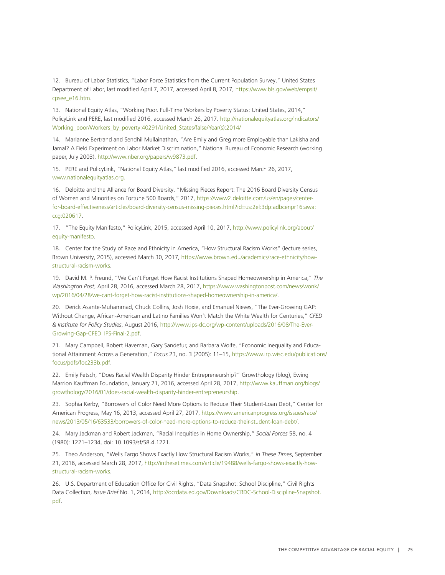12. Bureau of Labor Statistics, "Labor Force Statistics from the Current Population Survey," United States Department of Labor, last modified April 7, 2017, accessed April 8, 2017, [https://www.bls.gov/web/empsit/](https://www.bls.gov/web/empsit/cpsee_e16.htm) [cpsee\\_e16.htm](https://www.bls.gov/web/empsit/cpsee_e16.htm).

13. National Equity Atlas, "Working Poor. Full-Time Workers by Poverty Status: United States, 2014," PolicyLink and PERE, last modified 2016, accessed March 26, 2017. [http://nationalequityatlas.org/indicators/](http://nationalequityatlas.org/indicators/Working_poor/Workers_by_poverty:40291/United_States/false/Year(s):2014/) [Working\\_poor/Workers\\_by\\_poverty:40291/United\\_States/false/Year\(s\):2014/](http://nationalequityatlas.org/indicators/Working_poor/Workers_by_poverty:40291/United_States/false/Year(s):2014/)

14. Marianne Bertrand and Sendhil Mullainathan, "Are Emily and Greg more Employable than Lakisha and Jamal? A Field Experiment on Labor Market Discrimination," National Bureau of Economic Research (working paper, July 2003),<http://www.nber.org/papers/w9873.pdf>.

15. PERE and PolicyLink, "National Equity Atlas," last modified 2016, accessed March 26, 2017, [www.nationalequityatlas.org](http://www.nationalequityatlas.org).

16. Deloitte and the Alliance for Board Diversity, "Missing Pieces Report: The 2016 Board Diversity Census of Women and Minorities on Fortune 500 Boards," 201[7, https://www2.deloitte.com/us/en/pages/center](https://www2.deloitte.com/us/en/pages/center-for-board-effectiveness/articles/board-diversity-census-missing-pieces.html?id=us:2el:3dp:adbcenpr16:awa:ccg:020617)[for-board-effectiveness/articles/board-diversity-census-missing-pieces.html?id=us:2el:3dp:adbcenpr16:awa:](https://www2.deloitte.com/us/en/pages/center-for-board-effectiveness/articles/board-diversity-census-missing-pieces.html?id=us:2el:3dp:adbcenpr16:awa:ccg:020617) [ccg:020617](https://www2.deloitte.com/us/en/pages/center-for-board-effectiveness/articles/board-diversity-census-missing-pieces.html?id=us:2el:3dp:adbcenpr16:awa:ccg:020617).

17. "The Equity Manifesto," PolicyLink, 2015, accessed April 10, 2017, [http://www.policylink.org/about/](http://www.policylink.org/about/equity-manifesto) [equity-manifesto](http://www.policylink.org/about/equity-manifesto).

18. Center for the Study of Race and Ethnicity in America, "How Structural Racism Works" (lecture series, Brown University, 2015), accessed March 30, 2017, [https://www.brown.edu/academics/race-ethnicity/how](https://www.brown.edu/academics/race-ethnicity/how-structural-racism-works)[structural-racism-works.](https://www.brown.edu/academics/race-ethnicity/how-structural-racism-works)

19. David M. P. Freund, "We Can't Forget How Racist Institutions Shaped Homeownership in America," *The Washington Post*, April 28, 2016, accessed March 28, 2017, [https://www.washingtonpost.com/news/wonk/](https://www.washingtonpost.com/news/wonk/wp/2016/04/28/we-cant-forget-how-racist-institutions-shaped-homeownership-in-america/) [wp/2016/04/28/we-cant-forget-how-racist-institutions-shaped-homeownership-in-america/.](https://www.washingtonpost.com/news/wonk/wp/2016/04/28/we-cant-forget-how-racist-institutions-shaped-homeownership-in-america/)

20. Derick Asante-Muhammad, Chuck Collins, Josh Hoxie, and Emanuel Nieves, "The Ever-Growing GAP: Without Change, African-American and Latino Families Won't Match the White Wealth for Centuries," *CFED & Institute for Policy Studies*, August 2016, [http://www.ips-dc.org/wp-content/uploads/2016/08/The-Ever-](http://www.ips-dc.org/wp-content/uploads/2016/08/The-Ever-Growing-Gap-CFED_IPS-Final-2.pdf)[Growing-Gap-CFED\\_IPS-Final-2.pdf](http://www.ips-dc.org/wp-content/uploads/2016/08/The-Ever-Growing-Gap-CFED_IPS-Final-2.pdf).

21. Mary Campbell, Robert Haveman, Gary Sandefur, and Barbara Wolfe, "Economic Inequality and Educational Attainment Across a Generation," *Focus* 23, no. 3 (2005): 11–15, [https://www.irp.wisc.edu/publications/](https://www.irp.wisc.edu/publications/focus/pdfs/foc233b.pdf) [focus/pdfs/foc233b.pdf.](https://www.irp.wisc.edu/publications/focus/pdfs/foc233b.pdf)

22. Emily Fetsch, "Does Racial Wealth Disparity Hinder Entrepreneurship?" Growthology (blog), Ewing Marrion Kauffman Foundation, January 21, 2016, accessed April 28, 2017, [http://www.kauffman.org/blogs/](http://www.kauffman.org/blogs/growthology/2016/01/does-racial-wealth-disparity-hinder-entrepreneurship) [growthology/2016/01/does-racial-wealth-disparity-hinder-entrepreneurship.](http://www.kauffman.org/blogs/growthology/2016/01/does-racial-wealth-disparity-hinder-entrepreneurship)

23. Sophia Kerby, "Borrowers of Color Need More Options to Reduce Their Student-Loan Debt," Center for American Progress, May 16, 2013, accessed April 27, 2017, [https://www.americanprogress.org/issues/race/](https://www.americanprogress.org/issues/race/news/2013/05/16/63533/borrowers-of-color-need-more-options-to-reduce-their-student-loan-debt/) [news/2013/05/16/63533/borrowers-of-color-need-more-options-to-reduce-their-student-loan-debt/](https://www.americanprogress.org/issues/race/news/2013/05/16/63533/borrowers-of-color-need-more-options-to-reduce-their-student-loan-debt/).

24. Mary Jackman and Robert Jackman, "Racial Inequities in Home Ownership," *Social Forces* 58, no. 4 (1980): 1221–1234, doi: 10.1093/sf/58.4.1221.

25. Theo Anderson, "Wells Fargo Shows Exactly How Structural Racism Works," *In These Times*, September 21, 2016, accessed March 28, 2017, [http://inthesetimes.com/article/19488/wells-fargo-shows-exactly-how](http://inthesetimes.com/article/19488/wells-fargo-shows-exactly-how-structural-racism-works)[structural-racism-works.](http://inthesetimes.com/article/19488/wells-fargo-shows-exactly-how-structural-racism-works)

26. U.S. Department of Education Office for Civil Rights, "Data Snapshot: School Discipline," Civil Rights Data Collection, *Issue Brief* No. 1, 2014, [http://ocrdata.ed.gov/Downloads/CRDC-School-Discipline-Snapshot.](http://ocrdata.ed.gov/Downloads/CRDC-School-Discipline-Snapshot.pdf) [pdf.](http://ocrdata.ed.gov/Downloads/CRDC-School-Discipline-Snapshot.pdf)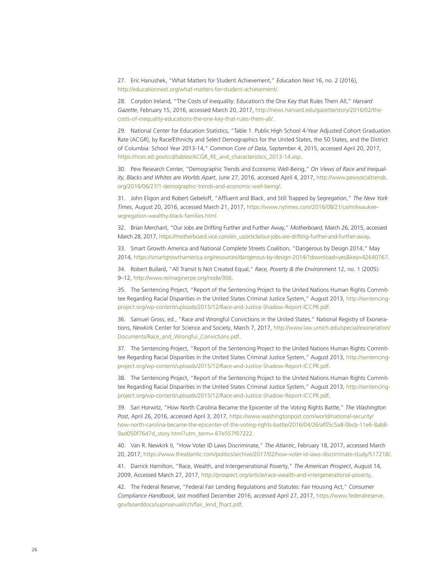27. Eric Hanushek, "What Matters for Student Achievement," *Education Next* 16, no. 2 (2016), [http://educationnext.org/what-matters-for-student-achievement/.](http://educationnext.org/what-matters-for-student-achievement/)

28. Corydon Ireland, "The Costs of Inequality: Education's the One Key that Rules Them All," *Harvard Gazette*, February 15, 2016, accessed March 20, 2017, [http://news.harvard.edu/gazette/story/2016/02/the](http://news.harvard.edu/gazette/story/2016/02/the-costs-of-inequality-educations-the-one-key-that-rules-them-all/)[costs-of-inequality-educations-the-one-key-that-rules-them-all/](http://news.harvard.edu/gazette/story/2016/02/the-costs-of-inequality-educations-the-one-key-that-rules-them-all/).

29. National Center for Education Statistics, "Table 1. Public High School 4-Year Adjusted Cohort Graduation Rate (ACGR), by Race/Ethnicity and Select Demographics for the United States, the 50 States, and the District of Columbia: School Year 2013-14," *Common Core of Data*, September 4, 2015, accessed April 20, 2017, [https://nces.ed.gov/ccd/tables/ACGR\\_RE\\_and\\_characteristics\\_2013-14.asp.](https://nces.ed.gov/ccd/tables/ACGR_RE_and_characteristics_2013-14.asp)

30. Pew Research Center, "Demographic Trends and Economic Well-Being," *On Views of Race and Inequality, Blacks and Whites are Worlds Apart*, June 27, 2016, accessed April 4, 2017, [http://www.pewsocialtrends.](http://www.pewsocialtrends.org/2016/06/27/1-demographic-trends-and-economic-well-being/) [org/2016/06/27/1-demographic-trends-and-economic-well-being/](http://www.pewsocialtrends.org/2016/06/27/1-demographic-trends-and-economic-well-being/).

31. John Eligon and Robert Gebeloff, "Affluent and Black, and Still Trapped by Segregation," *The New York Times*, August 20, 2016, accessed March 21, 2017, [https://www.nytimes.com/2016/08/21/us/milwaukee](https://www.nytimes.com/2016/08/21/us/milwaukee-segregation-wealthy-black-families.html)[segregation-wealthy-black-families.html.](https://www.nytimes.com/2016/08/21/us/milwaukee-segregation-wealthy-black-families.html)

32. Brian Merchant, "Our Jobs are Drifting Further and Further Away," *Motherboard*, March 26, 2015, accessed March 28, 2017, [https://motherboard.vice.com/en\\_us/article/our-jobs-are-drifting-further-and-further-away](https://motherboard.vice.com/en_us/article/our-jobs-are-drifting-further-and-further-away).

33. Smart Growth America and National Complete Streets Coalition, "Dangerous by Design 2014," May 2014, [https://smartgrowthamerica.org/resources/dangerous-by-design-2014/?download=yes&key=42640767.](https://smartgrowthamerica.org/resources/dangerous-by-design-2014/?download=yes&key=42640767)

34. Robert Bullard, "All Transit Is Not Created Equal," *Race, Poverty & the Environment* 12, no. 1 (2005): 9–12, [http://www.reimaginerpe.org/node/306.](http://www.reimaginerpe.org/node/306)

35. The Sentencing Project, "Report of the Sentencing Project to the United Nations Human Rights Committee Regarding Racial Disparities in the United States Criminal Justice System," August 2013, [http://sentencing](http://sentencingproject.org/wp-content/uploads/2015/12/Race-and-Justice-Shadow-Report-ICCPR.pdf)[project.org/wp-content/uploads/2015/12/Race-and-Justice-Shadow-Report-ICCPR.pdf.](http://sentencingproject.org/wp-content/uploads/2015/12/Race-and-Justice-Shadow-Report-ICCPR.pdf)

36. Samuel Gross, ed., "Race and Wrongful Convictions in the United States," National Registry of Exonerations, Newkirk Center for Science and Society, March 7, 2017, [http://www.law.umich.edu/special/exoneration/](http://www.law.umich.edu/special/exoneration/Documents/Race_and_Wrongful_Convictions.pdf) [Documents/Race\\_and\\_Wrongful\\_Convictions.pdf](http://www.law.umich.edu/special/exoneration/Documents/Race_and_Wrongful_Convictions.pdf).

37. The Sentencing Project, "Report of the Sentencing Project to the United Nations Human Rights Committee Regarding Racial Disparities in the United States Criminal Justice System," August 2013, [http://sentencing](http://sentencingproject.org/wp-content/uploads/2015/12/Race-and-Justice-Shadow-Report-ICCPR.pdf)[project.org/wp-content/uploads/2015/12/Race-and-Justice-Shadow-Report-ICCPR.pdf.](http://sentencingproject.org/wp-content/uploads/2015/12/Race-and-Justice-Shadow-Report-ICCPR.pdf)

38. The Sentencing Project, "Report of the Sentencing Project to the United Nations Human Rights Committee Regarding Racial Disparities in the United States Criminal Justice System," August 2013, [http://sentencing](http://sentencingproject.org/wp-content/uploads/2015/12/Race-and-Justice-Shadow-Report-ICCPR.pdf)[project.org/wp-content/uploads/2015/12/Race-and-Justice-Shadow-Report-ICCPR.pdf.](http://sentencingproject.org/wp-content/uploads/2015/12/Race-and-Justice-Shadow-Report-ICCPR.pdf)

39. Sari Horwitz, "How North Carolina Became the Epicenter of the Voting Rights Battle," *The Washington Post*, April 26, 2016, accessed April 3, 2017, [https://www.washingtonpost.com/world/national-security/](https://www.washingtonpost.com/world/national-security/how-north-carolina-became-the-epicenter-of-the-voting-rights-battle/2016/04/26/af05c5a8-0bcb-11e6-8ab8-9ad050f76d7d_story.html?utm_term=.67e557f07222) [how-north-carolina-became-the-epicenter-of-the-voting-rights-battle/2016/04/26/af05c5a8-0bcb-11e6-8ab8-](https://www.washingtonpost.com/world/national-security/how-north-carolina-became-the-epicenter-of-the-voting-rights-battle/2016/04/26/af05c5a8-0bcb-11e6-8ab8-9ad050f76d7d_story.html?utm_term=.67e557f07222) [9ad050f76d7d\\_story.html?utm\\_term=.67e557f07222](https://www.washingtonpost.com/world/national-security/how-north-carolina-became-the-epicenter-of-the-voting-rights-battle/2016/04/26/af05c5a8-0bcb-11e6-8ab8-9ad050f76d7d_story.html?utm_term=.67e557f07222).

40. Van R. Newkirk II, "How Voter ID Laws Discriminate," *The Atlantic*, February 18, 2017, accessed March 20, 2017, <https://www.theatlantic.com/politics/archive/2017/02/how-voter-id-laws-discriminate-study/517218/>.

41. Darrick Hamilton, "Race, Wealth, and Intergenerational Poverty," *The American Prospect*, August 14, 2009, Accessed March 27, 2017,<http://prospect.org/article/race-wealth-and-intergenerational-poverty>.

42. The Federal Reserve, "Federal Fair Lending Regulations and Statutes: Fair Housing Act," *Consumer Compliance Handbook*, last modified December 2016, accessed April 27, 2017, [https://www.federalreserve.](https://www.federalreserve.gov/boarddocs/supmanual/cch/fair_lend_fhact.pdf) [gov/boarddocs/supmanual/cch/fair\\_lend\\_fhact.pdf.](https://www.federalreserve.gov/boarddocs/supmanual/cch/fair_lend_fhact.pdf)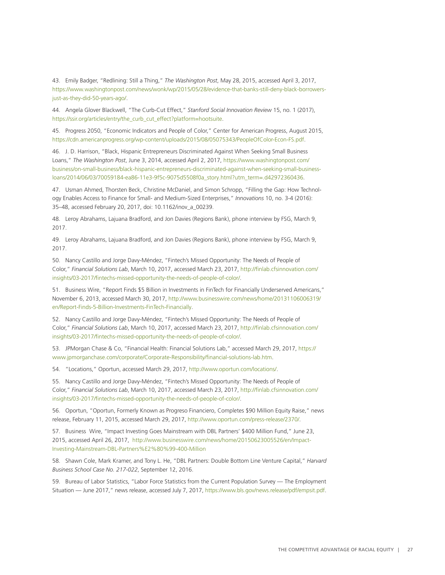43. Emily Badger, "Redlining: Still a Thing," *The Washington Post*, May 28, 2015, accessed April 3, 2017, [https://www.washingtonpost.com/news/wonk/wp/2015/05/28/evidence-that-banks-still-deny-black-borrowers](https://www.washingtonpost.com/news/wonk/wp/2015/05/28/evidence-that-banks-still-deny-black-borrowers-just-as-they-did-50-years-ago/)[just-as-they-did-50-years-ago/.](https://www.washingtonpost.com/news/wonk/wp/2015/05/28/evidence-that-banks-still-deny-black-borrowers-just-as-they-did-50-years-ago/)

44. Angela Glover Blackwell, "The Curb-Cut Effect," *Stanford Social Innovation Review* 15, no. 1 (2017), [https://ssir.org/articles/entry/the\\_curb\\_cut\\_effect?platform=hootsuite.](https://ssir.org/articles/entry/the_curb_cut_effect?platform=hootsuite)

45. Progress 2050, "Economic Indicators and People of Color," Center for American Progress, August 2015, <https://cdn.americanprogress.org/wp-content/uploads/2015/08/05075343/PeopleOfColor-Econ-FS.pdf>.

46. J. D. Harrison, "Black, Hispanic Entrepreneurs Discriminated Against When Seeking Small Business Loans," *The Washington Post*, June 3, 2014, accessed April 2, 2017, [https://www.washingtonpost.com/](https://www.washingtonpost.com/business/on-small-business/black-hispanic-entrepreneurs-discriminated-against-when-seeking-small-business-loans/2014/06/03/70059184-ea86-11e3-9f5c-9075d5508f0a_story.html?utm_term=.d42972360436) [business/on-small-business/black-hispanic-entrepreneurs-discriminated-against-when-seeking-small-business](https://www.washingtonpost.com/business/on-small-business/black-hispanic-entrepreneurs-discriminated-against-when-seeking-small-business-loans/2014/06/03/70059184-ea86-11e3-9f5c-9075d5508f0a_story.html?utm_term=.d42972360436)[loans/2014/06/03/70059184-ea86-11e3-9f5c-9075d5508f0a\\_story.html?utm\\_term=.d42972360436](https://www.washingtonpost.com/business/on-small-business/black-hispanic-entrepreneurs-discriminated-against-when-seeking-small-business-loans/2014/06/03/70059184-ea86-11e3-9f5c-9075d5508f0a_story.html?utm_term=.d42972360436).

47. Usman Ahmed, Thorsten Beck, Christine McDaniel, and Simon Schropp, "Filling the Gap: How Technology Enables Access to Finance for Small- and Medium-Sized Enterprises," *Innovations* 10, no. 3-4 (2016): 35–48, accessed February 20, 2017, doi: 10.1162/inov\_a\_00239.

48. Leroy Abrahams, Lajuana Bradford, and Jon Davies (Regions Bank), phone interview by FSG, March 9, 2017.

49. Leroy Abrahams, Lajuana Bradford, and Jon Davies (Regions Bank), phone interview by FSG, March 9, 2017.

50. Nancy Castillo and Jorge Davy-Méndez, "Fintech's Missed Opportunity: The Needs of People of Color," *Financial Solutions Lab*, March 10, 2017, accessed March 23, 2017, [http://finlab.cfsinnovation.com/](http://finlab.cfsinnovation.com/insights/03-2017/fintechs-missed-opportunity-the-needs-of-people-of-color/) [insights/03-2017/fintechs-missed-opportunity-the-needs-of-people-of-color/](http://finlab.cfsinnovation.com/insights/03-2017/fintechs-missed-opportunity-the-needs-of-people-of-color/).

51. Business Wire, "Report Finds \$5 Billion in Investments in FinTech for Financially Underserved Americans," November 6, 2013, accessed March 30, 2017, [http://www.businesswire.com/news/home/20131106006319/](http://www.businesswire.com/news/home/20131106006319/en/Report-Finds-5-Billion-Investments-FinTech-Financially) [en/Report-Finds-5-Billion-Investments-FinTech-Financially.](http://www.businesswire.com/news/home/20131106006319/en/Report-Finds-5-Billion-Investments-FinTech-Financially)

52. Nancy Castillo and Jorge Davy-Méndez, "Fintech's Missed Opportunity: The Needs of People of Color," *Financial Solutions Lab*, March 10, 2017, accessed March 23, 2017, [http://finlab.cfsinnovation.com/](http://finlab.cfsinnovation.com/insights/03-2017/fintechs-missed-opportunity-the-needs-of-people-of-color/) [insights/03-2017/fintechs-missed-opportunity-the-needs-of-people-of-color/](http://finlab.cfsinnovation.com/insights/03-2017/fintechs-missed-opportunity-the-needs-of-people-of-color/).

53. JPMorgan Chase & Co, "Financial Health: Financial Solutions Lab," accessed March 29, 2017, [https://](https://www.jpmorganchase.com/corporate/Corporate-Responsibility/financial-solutions-lab.htm) [www.jpmorganchase.com/corporate/Corporate-Responsibility/financial-solutions-lab.htm](https://www.jpmorganchase.com/corporate/Corporate-Responsibility/financial-solutions-lab.htm).

54. "Locations," Oportun, accessed March 29, 2017, [http://www.oportun.com/locations/.](http://www.oportun.com/locations/)

55. Nancy Castillo and Jorge Davy-Méndez, "Fintech's Missed Opportunity: The Needs of People of Color," *Financial Solutions Lab*, March 10, 2017, accessed March 23, 2017, [http://finlab.cfsinnovation.com/](http://finlab.cfsinnovation.com/insights/03-2017/fintechs-missed-opportunity-the-needs-of-people-of-color/) [insights/03-2017/fintechs-missed-opportunity-the-needs-of-people-of-color/](http://finlab.cfsinnovation.com/insights/03-2017/fintechs-missed-opportunity-the-needs-of-people-of-color/).

56. Oportun, "Oportun, Formerly Known as Progreso Financiero, Completes \$90 Million Equity Raise," news release, February 11, 2015, accessed March 29, 2017, [http://www.oportun.com/press-release/2370/.](http://www.oportun.com/press-release/2370/)

57. Business Wire, "Impact Investing Goes Mainstream with DBL Partners' \$400 Million Fund," June 23, 2015, accessed April 26, 2017, [http://www.businesswire.com/news/home/20150623005526/en/Impact-](http://www.businesswire.com/news/home/20150623005526/en/Impact-Investing-Mainstream-DBL-Partners%E2%80%99-400-Million)[Investing-Mainstream-DBL-Partners%E2%80%99-400-Million](http://www.businesswire.com/news/home/20150623005526/en/Impact-Investing-Mainstream-DBL-Partners%E2%80%99-400-Million)

58. Shawn Cole, Mark Kramer, and Tony L. He, "DBL Partners: Double Bottom Line Venture Capital," *Harvard Business School Case No. 217-022*, September 12, 2016.

59. Bureau of Labor Statistics, "Labor Force Statistics from the Current Population Survey — The Employment Situation — June 2017," news release, accessed July 7, 2017,<https://www.bls.gov/news.release/pdf/empsit.pdf>.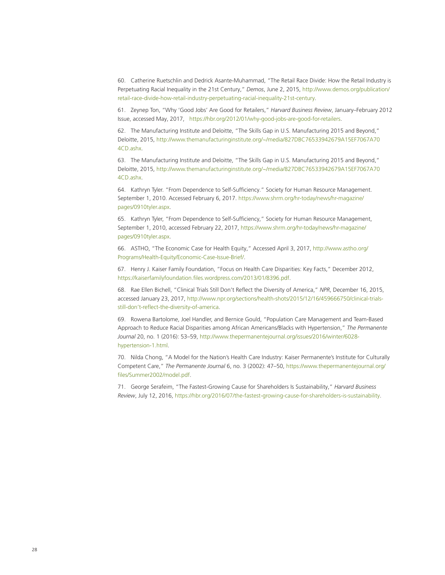60. Catherine Ruetschlin and Dedrick Asante-Muhammad, "The Retail Race Divide: How the Retail Industry is Perpetuating Racial Inequality in the 21st Century," *Demos*, June 2, 2015, [http://www.demos.org/publication/](http://www.demos.org/publication/retail-race-divide-how-retail-industry-perpetuating-racial-inequality-21st-century) [retail-race-divide-how-retail-industry-perpetuating-racial-inequality-21st-century](http://www.demos.org/publication/retail-race-divide-how-retail-industry-perpetuating-racial-inequality-21st-century).

61. Zeynep Ton, "Why 'Good Jobs' Are Good for Retailers," *Harvard Business Review*, January–February 2012 Issue, accessed May, 2017, [https://hbr.org/2012/01/why-good-jobs-are-good-for-retailers.](https://hbr.org/2012/01/why-good-jobs-are-good-for-retailers)

62. The Manufacturing Institute and Deloitte, "The Skills Gap in U.S. Manufacturing 2015 and Beyond," Deloitte, 2015, [http://www.themanufacturinginstitute.org/~/media/827DBC76533942679A15EF7067A70](http://www.themanufacturinginstitute.org/~/media/827DBC76533942679A15EF7067A704CD.ashx) [4CD.ashx](http://www.themanufacturinginstitute.org/~/media/827DBC76533942679A15EF7067A704CD.ashx).

63. The Manufacturing Institute and Deloitte, "The Skills Gap in U.S. Manufacturing 2015 and Beyond," Deloitte, 2015, [http://www.themanufacturinginstitute.org/~/media/827DBC76533942679A15EF7067A70](http://www.themanufacturinginstitute.org/~/media/827DBC76533942679A15EF7067A704CD.ashx) [4CD.ashx](http://www.themanufacturinginstitute.org/~/media/827DBC76533942679A15EF7067A704CD.ashx).

64. Kathryn Tyler. "From Dependence to Self-Sufficiency." Society for Human Resource Management. September 1, 2010. Accessed February 6, 2017. https://www.shrm.org/hr-today/news/hr-magazine/ pages/0910tyler.aspx.

65. Kathryn Tyler, "From Dependence to Self-Sufficiency," Society for Human Resource Management, September 1, 2010, accessed February 22, 2017, [https://www.shrm.org/hr-today/news/hr-magazine/](https://www.shrm.org/hr-today/news/hr-magazine/pages/0910tyler.aspx) [pages/0910tyler.aspx](https://www.shrm.org/hr-today/news/hr-magazine/pages/0910tyler.aspx).

66. ASTHO, "The Economic Case for Health Equity," Accessed April 3, 2017, [http://www.astho.org/](http://www.astho.org/Programs/Health-Equity/Economic-Case-Issue-Brief/) [Programs/Health-Equity/Economic-Case-Issue-Brief/.](http://www.astho.org/Programs/Health-Equity/Economic-Case-Issue-Brief/)

67. Henry J. Kaiser Family Foundation, "Focus on Health Care Disparities: Key Facts," December 2012, <https://kaiserfamilyfoundation.files.wordpress.com/2013/01/8396.pdf>.

68. Rae Ellen Bichell, "Clinical Trials Still Don't Reflect the Diversity of America," *NPR*, December 16, 2015, accessed January 23, 2017, [http://www.npr.org/sections/health-shots/2015/12/16/459666750/clinical-trials](http://www.npr.org/sections/health-shots/2015/12/16/459666750/clinical-trials-still-don)[still-don't-reflect-the-diversity-of-america](http://www.npr.org/sections/health-shots/2015/12/16/459666750/clinical-trials-still-don).

69. Rowena Bartolome, Joel Handler, and Bernice Gould, "Population Care Management and Team-Based Approach to Reduce Racial Disparities among African Americans/Blacks with Hypertension," *The Permanente Journal* 20, no. 1 (2016): 53–59, [http://www.thepermanentejournal.org/issues/2016/winter/6028](http://www.thepermanentejournal.org/issues/2016/winter/6028-
hypertension-1.html) [hypertension-1.html.](http://www.thepermanentejournal.org/issues/2016/winter/6028-
hypertension-1.html)

70. Nilda Chong, "A Model for the Nation's Health Care Industry: Kaiser Permanente's Institute for Culturally Competent Care," *The Permanente Journal* 6, no. 3 (2002): 47–50, [https://www.thepermanentejournal.org/](https://www.thepermanentejournal.org/files/Summer2002/model.pdf) [files/Summer2002/model.pdf](https://www.thepermanentejournal.org/files/Summer2002/model.pdf).

71. George Serafeim, "The Fastest-Growing Cause for Shareholders Is Sustainability," *Harvard Business Review*, July 12, 2016, [https://hbr.org/2016/07/the-fastest-growing-cause-for-shareholders-is-sustainability.](https://hbr.org/2016/07/the-fastest-growing-cause-for-shareholders-is-sustainability)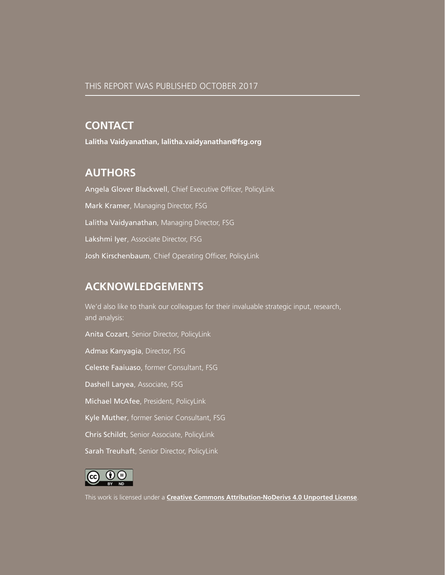### **CONTACT**

**Lalitha Vaidyanathan, l[alitha.vaidyanathan@fsg.org](mailto:Lalitha.vaidyanathan@fsg.org)**

### **AUTHORS**

Angela Glover Blackwell, Chief Executive Officer, PolicyLink Mark Kramer, Managing Director, FSG Lalitha Vaidyanathan, Managing Director, FSG Lakshmi Iyer, Associate Director, FSG Josh Kirschenbaum, Chief Operating Officer, PolicyLink

### **ACKNOWLEDGEMENTS**

We'd also like to thank our colleagues for their invaluable strategic input, research, and analysis:

Anita Cozart, Senior Director, PolicyLink Admas Kanyagia, Director, FSG Celeste Faaiuaso, former Consultant, FSG Dashell Laryea, Associate, FSG Michael McAfee, President, PolicyLink Kyle Muther, former Senior Consultant, FSG Chris Schildt, Senior Associate, PolicyLink Sarah Treuhaft, Senior Director, PolicyLink



This work is licensed under a **[Creative Commons Attribution-NoDerivs 4.0 Unported License](http://creativecommons.org/licenses/by-nd/4.0/deed.en_US)**.